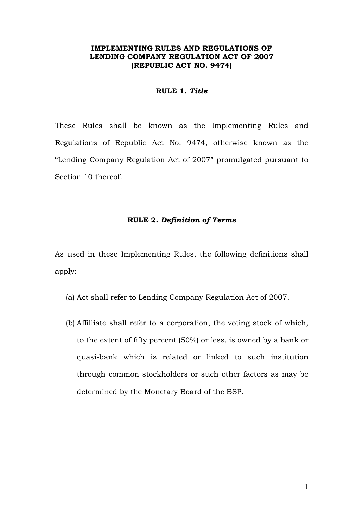# **IMPLEMENTING RULES AND REGULATIONS OF LENDING COMPANY REGULATION ACT OF 2007 (REPUBLIC ACT NO. 9474)**

#### **RULE 1.** *Title*

These Rules shall be known as the Implementing Rules and Regulations of Republic Act No. 9474, otherwise known as the "Lending Company Regulation Act of 2007" promulgated pursuant to Section 10 thereof.

## **RULE 2.** *Definition of Terms*

As used in these Implementing Rules, the following definitions shall apply:

- (a) Act shall refer to Lending Company Regulation Act of 2007.
- (b) Affilliate shall refer to a corporation, the voting stock of which, to the extent of fifty percent (50%) or less, is owned by a bank or quasi-bank which is related or linked to such institution through common stockholders or such other factors as may be determined by the Monetary Board of the BSP.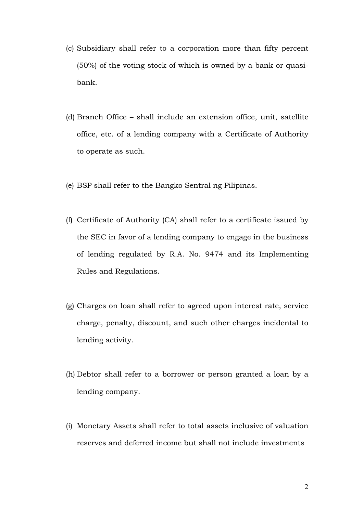- (c) Subsidiary shall refer to a corporation more than fifty percent (50%) of the voting stock of which is owned by a bank or quasibank.
- (d) Branch Office shall include an extension office, unit, satellite office, etc. of a lending company with a Certificate of Authority to operate as such.
- (e) BSP shall refer to the Bangko Sentral ng Pilipinas.
- (f) Certificate of Authority (CA) shall refer to a certificate issued by the SEC in favor of a lending company to engage in the business of lending regulated by R.A. No. 9474 and its Implementing Rules and Regulations.
- (g) Charges on loan shall refer to agreed upon interest rate, service charge, penalty, discount, and such other charges incidental to lending activity.
- (h) Debtor shall refer to a borrower or person granted a loan by a lending company.
- (i) Monetary Assets shall refer to total assets inclusive of valuation reserves and deferred income but shall not include investments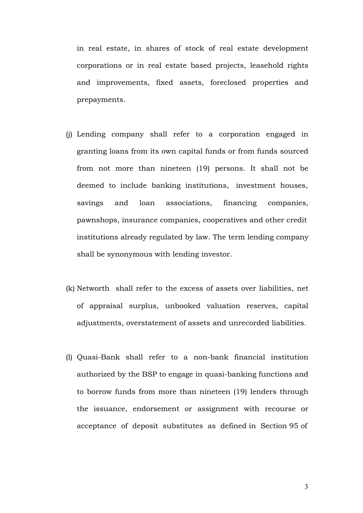in real estate, in shares of stock of real estate development corporations or in real estate based projects, leasehold rights and improvements, fixed assets, foreclosed properties and prepayments.

- (j) Lending company shall refer to a corporation engaged in granting loans from its own capital funds or from funds sourced from not more than nineteen (19) persons. It shall not be deemed to include banking institutions, investment houses, savings and loan associations, financing companies, pawnshops, insurance companies, cooperatives and other credit institutions already regulated by law. The term lending company shall be synonymous with lending investor.
- (k) Networth shall refer to the excess of assets over liabilities, net of appraisal surplus, unbooked valuation reserves, capital adjustments, overstatement of assets and unrecorded liabilities.
- (l) Quasi-Bank shall refer to a non-bank financial institution authorized by the BSP to engage in quasi-banking functions and to borrow funds from more than nineteen (19) lenders through the issuance, endorsement or assignment with recourse or acceptance of deposit substitutes as defined in Section 95 of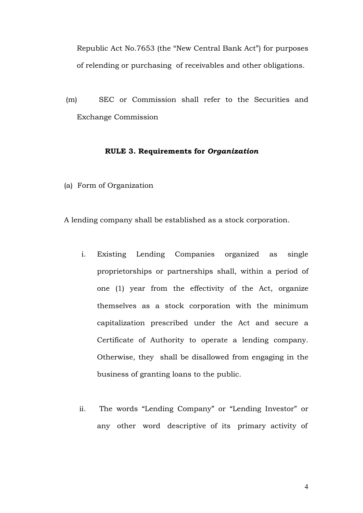Republic Act No.7653 (the "New Central Bank Act") for purposes of relending or purchasing of receivables and other obligations.

(m) SEC or Commission shall refer to the Securities and Exchange Commission

## **RULE 3. Requirements for** *Organization*

(a) Form of Organization

A lending company shall be established as a stock corporation.

- i. Existing Lending Companies organized as single proprietorships or partnerships shall, within a period of one (1) year from the effectivity of the Act, organize themselves as a stock corporation with the minimum capitalization prescribed under the Act and secure a Certificate of Authority to operate a lending company. Otherwise, they shall be disallowed from engaging in the business of granting loans to the public.
- ii. The words "Lending Company" or "Lending Investor" or any other word descriptive of its primary activity of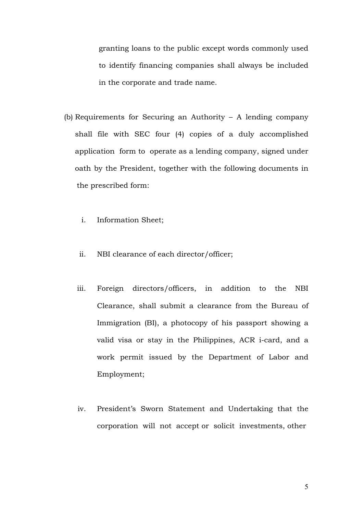granting loans to the public except words commonly used to identify financing companies shall always be included in the corporate and trade name.

- (b) Requirements for Securing an Authority A lending company shall file with SEC four (4) copies of a duly accomplished application form to operate as a lending company, signed under oath by the President, together with the following documents in the prescribed form:
	- i. Information Sheet;
	- ii. NBI clearance of each director/officer;
	- iii. Foreign directors/officers, in addition to the NBI Clearance, shall submit a clearance from the Bureau of Immigration (BI), a photocopy of his passport showing a valid visa or stay in the Philippines, ACR i-card, and a work permit issued by the Department of Labor and Employment;
	- iv. President's Sworn Statement and Undertaking that the corporation will not accept or solicit investments, other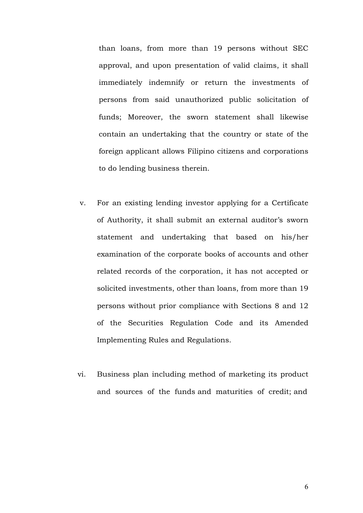than loans, from more than 19 persons without SEC approval, and upon presentation of valid claims, it shall immediately indemnify or return the investments of persons from said unauthorized public solicitation of funds; Moreover, the sworn statement shall likewise contain an undertaking that the country or state of the foreign applicant allows Filipino citizens and corporations to do lending business therein.

- v. For an existing lending investor applying for a Certificate of Authority, it shall submit an external auditor's sworn statement and undertaking that based on his/her examination of the corporate books of accounts and other related records of the corporation, it has not accepted or solicited investments, other than loans, from more than 19 persons without prior compliance with Sections 8 and 12 of the Securities Regulation Code and its Amended Implementing Rules and Regulations.
- vi. Business plan including method of marketing its product and sources of the funds and maturities of credit; and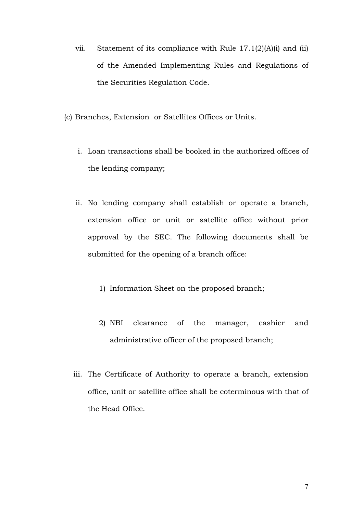- vii. Statement of its compliance with Rule 17.1(2)(A)(i) and (ii) of the Amended Implementing Rules and Regulations of the Securities Regulation Code.
- (c) Branches, Extension or Satellites Offices or Units.
	- i. Loan transactions shall be booked in the authorized offices of the lending company;
	- ii. No lending company shall establish or operate a branch, extension office or unit or satellite office without prior approval by the SEC. The following documents shall be submitted for the opening of a branch office:
		- 1) Information Sheet on the proposed branch;
		- 2) NBI clearance of the manager, cashier and administrative officer of the proposed branch;
	- iii. The Certificate of Authority to operate a branch, extension office, unit or satellite office shall be coterminous with that of the Head Office.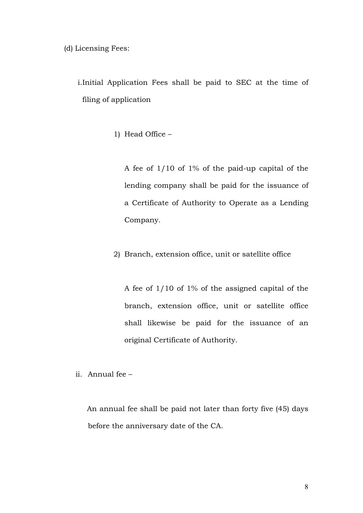(d) Licensing Fees:

i.Initial Application Fees shall be paid to SEC at the time of filing of application

1) Head Office –

A fee of 1/10 of 1% of the paid-up capital of the lending company shall be paid for the issuance of a Certificate of Authority to Operate as a Lending Company.

2) Branch, extension office, unit or satellite office

A fee of 1/10 of 1% of the assigned capital of the branch, extension office, unit or satellite office shall likewise be paid for the issuance of an original Certificate of Authority.

ii. Annual fee –

 An annual fee shall be paid not later than forty five (45) days before the anniversary date of the CA.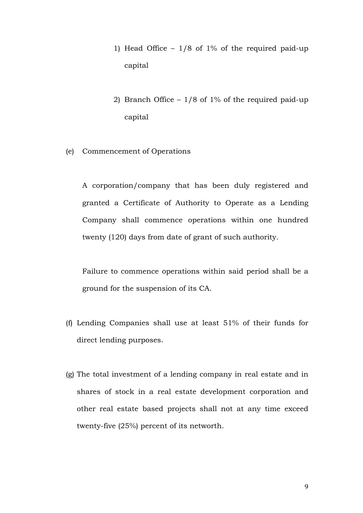- 1) Head Office  $-1/8$  of 1% of the required paid-up capital
- 2) Branch Office 1/8 of 1% of the required paid-up capital
- (e) Commencement of Operations

A corporation/company that has been duly registered and granted a Certificate of Authority to Operate as a Lending Company shall commence operations within one hundred twenty (120) days from date of grant of such authority.

Failure to commence operations within said period shall be a ground for the suspension of its CA.

- (f) Lending Companies shall use at least 51% of their funds for direct lending purposes.
- (g) The total investment of a lending company in real estate and in shares of stock in a real estate development corporation and other real estate based projects shall not at any time exceed twenty-five (25%) percent of its networth.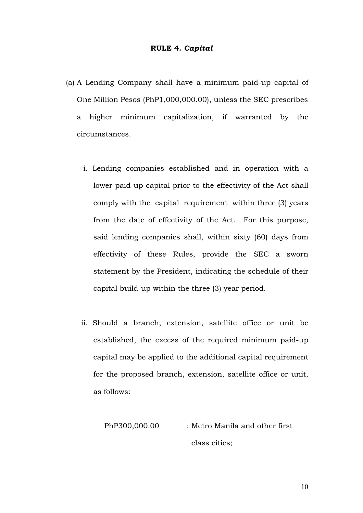#### **RULE 4.** *Capital*

- (a) A Lending Company shall have a minimum paid-up capital of One Million Pesos (PhP1,000,000.00), unless the SEC prescribes a higher minimum capitalization, if warranted by the circumstances.
	- i. Lending companies established and in operation with a lower paid-up capital prior to the effectivity of the Act shall comply with the capital requirement within three (3) years from the date of effectivity of the Act. For this purpose, said lending companies shall, within sixty (60) days from effectivity of these Rules, provide the SEC a sworn statement by the President, indicating the schedule of their capital build-up within the three (3) year period.
	- ii. Should a branch, extension, satellite office or unit be established, the excess of the required minimum paid-up capital may be applied to the additional capital requirement for the proposed branch, extension, satellite office or unit, as follows:

PhP300,000.00 : Metro Manila and other first class cities;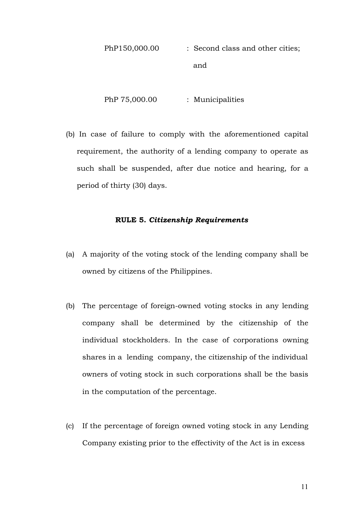PhP150,000.00 : Second class and other cities; and

PhP 75,000.00 : Municipalities

(b) In case of failure to comply with the aforementioned capital requirement, the authority of a lending company to operate as such shall be suspended, after due notice and hearing, for a period of thirty (30) days.

## **RULE 5.** *Citizenship Requirements*

- (a) A majority of the voting stock of the lending company shall be owned by citizens of the Philippines.
- (b) The percentage of foreign-owned voting stocks in any lending company shall be determined by the citizenship of the individual stockholders. In the case of corporations owning shares in a lending company, the citizenship of the individual owners of voting stock in such corporations shall be the basis in the computation of the percentage.
- (c) If the percentage of foreign owned voting stock in any Lending Company existing prior to the effectivity of the Act is in excess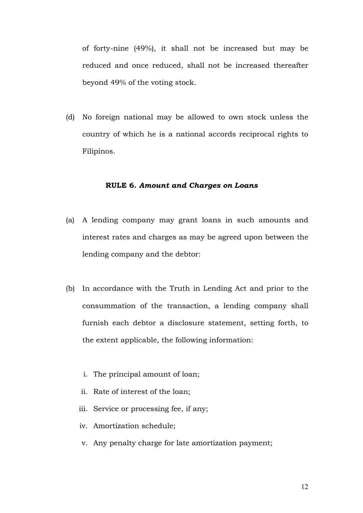of forty-nine (49%), it shall not be increased but may be reduced and once reduced, shall not be increased thereafter beyond 49% of the voting stock.

(d) No foreign national may be allowed to own stock unless the country of which he is a national accords reciprocal rights to Filipinos.

# **RULE 6.** *Amount and Charges on Loans*

- (a) A lending company may grant loans in such amounts and interest rates and charges as may be agreed upon between the lending company and the debtor:
- (b) In accordance with the Truth in Lending Act and prior to the consummation of the transaction, a lending company shall furnish each debtor a disclosure statement, setting forth, to the extent applicable, the following information:
	- i. The principal amount of loan;
	- ii. Rate of interest of the loan;
	- iii. Service or processing fee, if any;
	- iv. Amortization schedule;
	- v. Any penalty charge for late amortization payment;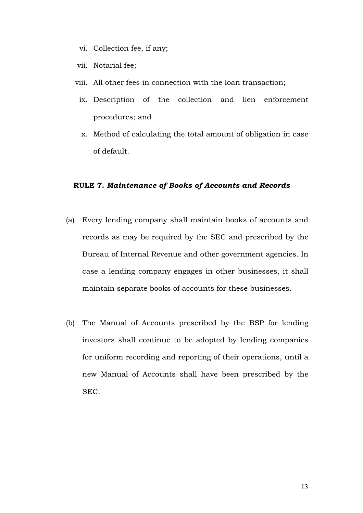- vi. Collection fee, if any;
- vii. Notarial fee;
- viii. All other fees in connection with the loan transaction;
	- ix. Description of the collection and lien enforcement procedures; and
	- x. Method of calculating the total amount of obligation in case of default.

## **RULE 7.** *Maintenance of Books of Accounts and Records*

- (a) Every lending company shall maintain books of accounts and records as may be required by the SEC and prescribed by the Bureau of Internal Revenue and other government agencies. In case a lending company engages in other businesses, it shall maintain separate books of accounts for these businesses.
- (b) The Manual of Accounts prescribed by the BSP for lending investors shall continue to be adopted by lending companies for uniform recording and reporting of their operations, until a new Manual of Accounts shall have been prescribed by the SEC.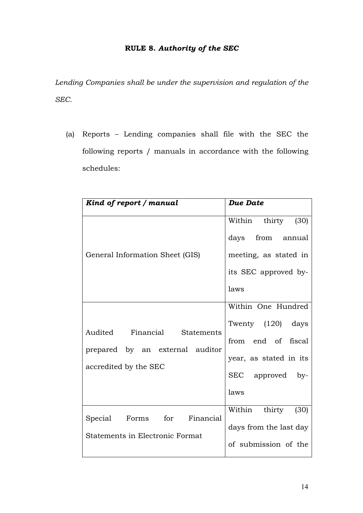# **RULE 8.** *Authority of the SEC*

*Lending Companies shall be under the supervision and regulation of the SEC.*

(a) Reports – Lending companies shall file with the SEC the following reports / manuals in accordance with the following schedules:

| Kind of report / manual                                                                  | Due Date                                                                                                            |
|------------------------------------------------------------------------------------------|---------------------------------------------------------------------------------------------------------------------|
| General Information Sheet (GIS)                                                          | Within thirty (30)<br>days from annual<br>meeting, as stated in<br>its SEC approved by-<br>laws                     |
| Audited Financial Statements<br>prepared by an external auditor<br>accredited by the SEC | Within One Hundred<br>Twenty (120) days<br>from end of fiscal<br>year, as stated in its<br>SEC approved by-<br>laws |
| Special Forms for Financial<br>Statements in Electronic Format                           | Within thirty<br>(30)<br>days from the last day<br>of submission of the                                             |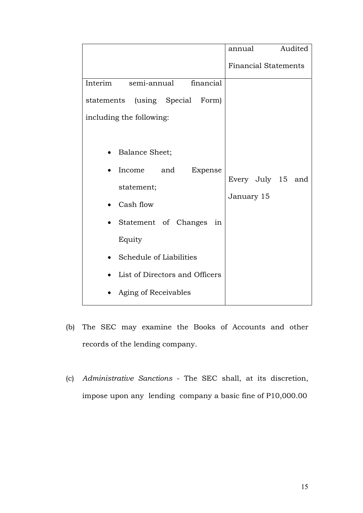|                                       | Audited<br>annual           |
|---------------------------------------|-----------------------------|
|                                       | <b>Financial Statements</b> |
| Interim<br>semi-annual<br>financial   |                             |
| (using Special Form)<br>statements    |                             |
| including the following:              |                             |
|                                       |                             |
| <b>Balance Sheet;</b>                 |                             |
| Income<br>Expense<br>and<br>$\bullet$ |                             |
| statement;                            | Every July 15 and           |
| Cash flow                             | January 15                  |
| Statement of Changes<br>in            |                             |
| Equity                                |                             |
| Schedule of Liabilities               |                             |
| List of Directors and Officers        |                             |
| Aging of Receivables                  |                             |

- (b) The SEC may examine the Books of Accounts and other records of the lending company.
- (c) *Administrative Sanctions* The SEC shall, at its discretion, impose upon any lending company a basic fine of P10,000.00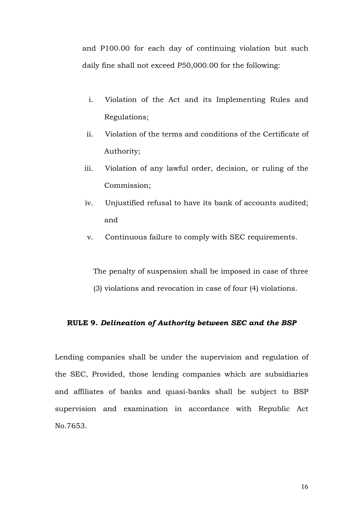and P100.00 for each day of continuing violation but such daily fine shall not exceed P50,000.00 for the following:

- i. Violation of the Act and its Implementing Rules and Regulations;
- ii. Violation of the terms and conditions of the Certificate of Authority;
- iii. Violation of any lawful order, decision, or ruling of the Commission;
- iv. Unjustified refusal to have its bank of accounts audited; and
- v. Continuous failure to comply with SEC requirements.

 The penalty of suspension shall be imposed in case of three (3) violations and revocation in case of four (4) violations.

#### **RULE 9.** *Delineation of Authority between SEC and the BSP*

Lending companies shall be under the supervision and regulation of the SEC, Provided, those lending companies which are subsidiaries and affiliates of banks and quasi-banks shall be subject to BSP supervision and examination in accordance with Republic Act No.7653.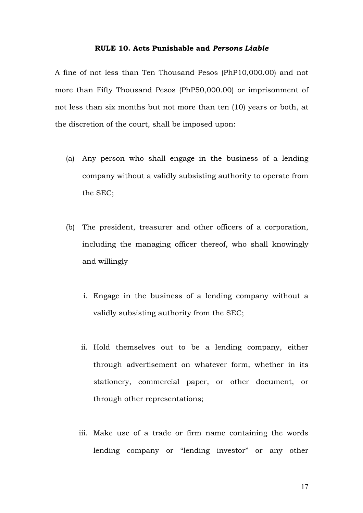#### **RULE 10. Acts Punishable and** *Persons Liable*

A fine of not less than Ten Thousand Pesos (PhP10,000.00) and not more than Fifty Thousand Pesos (PhP50,000.00) or imprisonment of not less than six months but not more than ten (10) years or both, at the discretion of the court, shall be imposed upon:

- (a) Any person who shall engage in the business of a lending company without a validly subsisting authority to operate from the SEC;
- (b) The president, treasurer and other officers of a corporation, including the managing officer thereof, who shall knowingly and willingly
	- i. Engage in the business of a lending company without a validly subsisting authority from the SEC;
	- ii. Hold themselves out to be a lending company, either through advertisement on whatever form, whether in its stationery, commercial paper, or other document, or through other representations;
	- iii. Make use of a trade or firm name containing the words lending company or "lending investor" or any other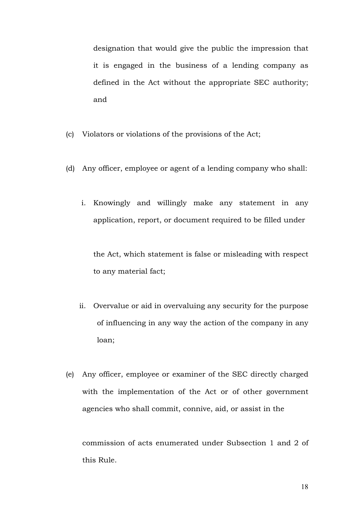designation that would give the public the impression that it is engaged in the business of a lending company as defined in the Act without the appropriate SEC authority; and

- (c) Violators or violations of the provisions of the Act;
- (d) Any officer, employee or agent of a lending company who shall:
	- i. Knowingly and willingly make any statement in any application, report, or document required to be filled under

the Act, which statement is false or misleading with respect to any material fact;

- ii. Overvalue or aid in overvaluing any security for the purpose of influencing in any way the action of the company in any loan;
- (e) Any officer, employee or examiner of the SEC directly charged with the implementation of the Act or of other government agencies who shall commit, connive, aid, or assist in the

commission of acts enumerated under Subsection 1 and 2 of this Rule.